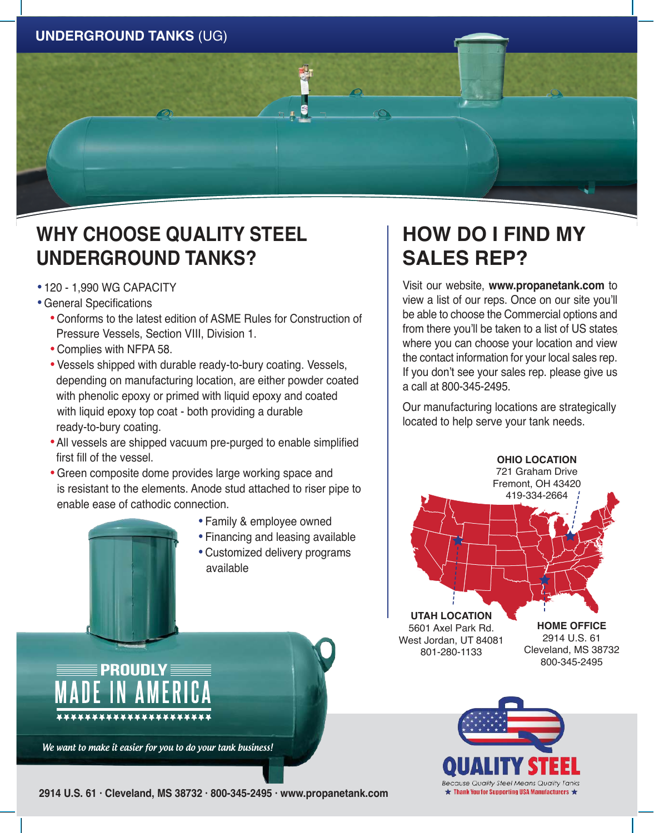

## **WHY CHOOSE QUALITY STEEL UNDERGROUND TANKS?**

- · 120 1,990 WG CAPACITY
- · General Specifications
	- · Conforms to the latest edition of ASME Rules for Construction of Pressure Vessels, Section VIII, Division 1.
	- · Complies with NFPA 58.
	- · Vessels shipped with durable ready-to-bury coating. Vessels, depending on manufacturing location, are either powder coated with phenolic epoxy or primed with liquid epoxy and coated with liquid epoxy top coat - both providing a durable ready-to-bury coating.
	- · All vessels are shipped vacuum pre-purged to enable simplified first fill of the vessel.
	- · Green composite dome provides large working space and is resistant to the elements. Anode stud attached to riser pipe to enable ease of cathodic connection.
		- · Family & employee owned
		- · Financing and leasing available
		- · Customized delivery programs available

## **HOW DO I FIND MY SALES REP?**

Visit our website, **www.propanetank.com** to view a list of our reps. Once on our site you'll be able to choose the Commercial options and from there you'll be taken to a list of US states where you can choose your location and view the contact information for your local sales rep. If you don't see your sales rep. please give us a call at 800-345-2495.

Our manufacturing locations are strategically located to help serve your tank needs.





We want to make it easier for you to do your tank business!

PROUDLY

\*\*\*\*\*\*\*\*\*\*\*\*\*\*\*\*\*\*\*\*

**2914 U.S. 61 · Cleveland, MS 38732 · 800-345-2495 · www.propanetank.com**